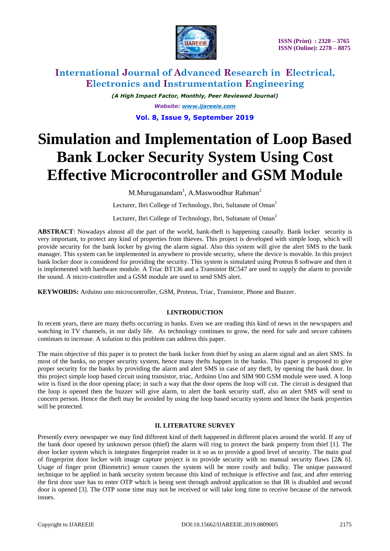

*(A High Impact Factor, Monthly, Peer Reviewed Journal) Website: [www.ijareeie.com](http://www.ijareeie.com/)* **Vol. 8, Issue 9, September 2019**

# **Simulation and Implementation of Loop Based Bank Locker Security System Using Cost Effective Microcontroller and GSM Module**

M.Muruganandam<sup>1</sup>, A.Maswoodhur Rahman<sup>2</sup>

Lecturer, Ibri College of Technology, Ibri, Sultanate of Oman<sup>1</sup>

Lecturer, Ibri College of Technology, Ibri, Sultanate of Oman<sup>2</sup>

**ABSTRACT**: Nowadays almost all the part of the world, bank-theft is happening causally. Bank locker security is very important, to protect any kind of properties from thieves. This project is developed with simple loop, which will provide security for the bank locker by giving the alarm signal. Also this system will give the alert SMS to the bank manager. This system can be implemented in anywhere to provide security, where the device is movable. In this project bank locker door is considered for providing the security. This system is simulated using Proteus 8 software and then it is implemented with hardware module. A Triac BT136 and a Transistor BC547 are used to supply the alarm to provide the sound. A micro-controller and a GSM module are used to send SMS alert.

**KEYWORDS:** Arduino uno microcontroller, GSM, Proteus, Triac, Transistor, Phone and Buzzer.

## **I.INTRODUCTION**

In recent years, there are many thefts occurring in banks. Even we are reading this kind of news in the newspapers and watching in TV channels, in our daily life. As technology continues to grow, the need for safe and secure cabinets continues to increase. A solution to this problem can address this paper.

The main objective of this paper is to protect the bank locker from thief by using an alarm signal and an alert SMS. In most of the banks, no proper security system, hence many thefts happen in the banks. This paper is proposed to give proper security for the banks by providing the alarm and alert SMS in case of any theft, by opening the bank door. In this project simple loop based circuit using transistor, triac, Arduino Uno and SIM 900 GSM module were used. A loop wire is fixed in the door opening place; in such a way that the door opens the loop will cut. The circuit is designed that the loop is opened then the buzzer will give alarm, to alert the bank security staff, also an alert SMS will send to concern person. Hence the theft may be avoided by using the loop based security system and hence the bank properties will be protected.

## **II. LITERATURE SURVEY**

Presently every newspaper we may find different kind of theft happened in different places around the world. If any of the bank door opened by unknown person (thief) the alarm will ring to protect the bank property from thief [1]. The door locker system which is integrates fingerprint reader in it so as to provide a good level of security. The main goal of fingerprint door locker with image capture project is to provide security with no manual security flaws  $[2\& 6]$ . Usage of finger print (Biometric) sensor causes the system will be more costly and bulky. The unique password technique to be applied in bank security system because this kind of technique is effective and fast, and after entering the first door user has to enter OTP which is being sent through android application so that IR is disabled and second door is opened [3]. The OTP some time may not be received or will take long time to receive because of the network issues.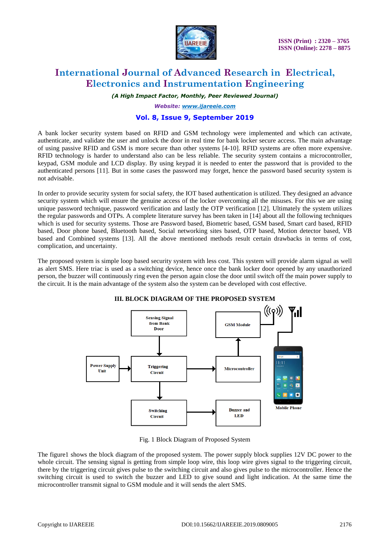

*(A High Impact Factor, Monthly, Peer Reviewed Journal)*

*Website: [www.ijareeie.com](http://www.ijareeie.com/)*

## **Vol. 8, Issue 9, September 2019**

A bank locker security system based on RFID and GSM technology were implemented and which can activate, authenticate, and validate the user and unlock the door in real time for bank locker secure access. The main advantage of using passive RFID and GSM is more secure than other systems [4-10]. RFID systems are often more expensive. RFID technology is harder to understand also can be less reliable. The security system contains a microcontroller, keypad, GSM module and LCD display. By using keypad it is needed to enter the password that is provided to the authenticated persons [11]. But in some cases the password may forget, hence the password based security system is not advisable.

In order to provide security system for social safety, the IOT based authentication is utilized. They designed an advance security system which will ensure the genuine access of the locker overcoming all the misuses. For this we are using unique password technique, password verification and lastly the OTP verification [12]. Ultimately the system utilizes the regular passwords and OTPs. A complete literature survey has been taken in [14] about all the following techniques which is used for security systems. Those are Password based, Biometric based, GSM based, Smart card based, RFID based, Door phone based, Bluetooth based, Social networking sites based, OTP based, Motion detector based, VB based and Combined systems [13]. All the above mentioned methods result certain drawbacks in terms of cost, complication, and uncertainty.

The proposed system is simple loop based security system with less cost. This system will provide alarm signal as well as alert SMS. Here triac is used as a switching device, hence once the bank locker door opened by any unauthorized person, the buzzer will continuously ring even the person again close the door until switch off the main power supply to the circuit. It is the main advantage of the system also the system can be developed with cost effective.



**III. BLOCK DIAGRAM OF THE PROPOSED SYSTEM**

Fig. 1 Block Diagram of Proposed System

The figure1 shows the block diagram of the proposed system. The power supply block supplies 12V DC power to the whole circuit. The sensing signal is getting from simple loop wire, this loop wire gives signal to the triggering circuit, there by the triggering circuit gives pulse to the switching circuit and also gives pulse to the microcontroller. Hence the switching circuit is used to switch the buzzer and LED to give sound and light indication. At the same time the microcontroller transmit signal to GSM module and it will sends the alert SMS.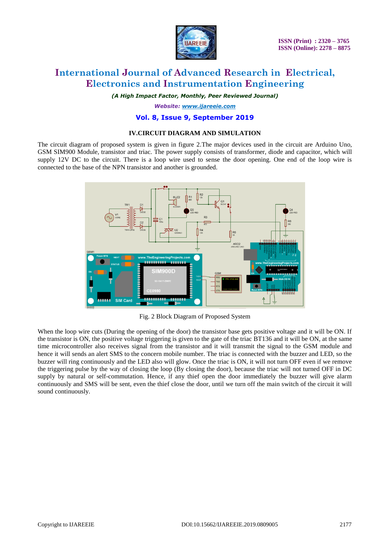

*(A High Impact Factor, Monthly, Peer Reviewed Journal)*

*Website: [www.ijareeie.com](http://www.ijareeie.com/)*

#### **Vol. 8, Issue 9, September 2019**

#### **IV.CIRCUIT DIAGRAM AND SIMULATION**

The circuit diagram of proposed system is given in figure 2.The major devices used in the circuit are Arduino Uno, GSM SIM900 Module, transistor and triac. The power supply consists of transformer, diode and capacitor, which will supply 12V DC to the circuit. There is a loop wire used to sense the door opening. One end of the loop wire is connected to the base of the NPN transistor and another is grounded.



Fig. 2 Block Diagram of Proposed System

When the loop wire cuts (During the opening of the door) the transistor base gets positive voltage and it will be ON. If the transistor is ON, the positive voltage triggering is given to the gate of the triac BT136 and it will be ON, at the same time microcontroller also receives signal from the transistor and it will transmit the signal to the GSM module and hence it will sends an alert SMS to the concern mobile number. The triac is connected with the buzzer and LED, so the buzzer will ring continuously and the LED also will glow. Once the triac is ON, it will not turn OFF even if we remove the triggering pulse by the way of closing the loop (By closing the door), because the triac will not turned OFF in DC supply by natural or self-commutation. Hence, if any thief open the door immediately the buzzer will give alarm continuously and SMS will be sent, even the thief close the door, until we turn off the main switch of the circuit it will sound continuously.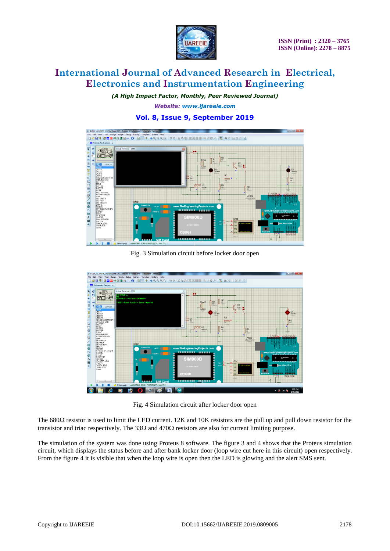

*(A High Impact Factor, Monthly, Peer Reviewed Journal)*

*Website: [www.ijareeie.com](http://www.ijareeie.com/)*

## **Vol. 8, Issue 9, September 2019**



Fig. 3 Simulation circuit before locker door open



Fig. 4 Simulation circuit after locker door open

The 680 $\Omega$  resistor is used to limit the LED current. 12K and 10K resistors are the pull up and pull down resistor for the transistor and triac respectively. The  $33\Omega$  and  $470\Omega$  resistors are also for current limiting purpose.

The simulation of the system was done using Proteus 8 software. The figure 3 and 4 shows that the Proteus simulation circuit, which displays the status before and after bank locker door (loop wire cut here in this circuit) open respectively. From the figure 4 it is visible that when the loop wire is open then the LED is glowing and the alert SMS sent.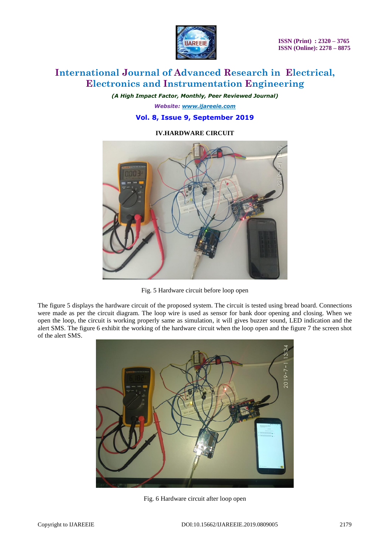

*(A High Impact Factor, Monthly, Peer Reviewed Journal) Website: [www.ijareeie.com](http://www.ijareeie.com/)*

## **Vol. 8, Issue 9, September 2019**

## **IV.HARDWARE CIRCUIT**



Fig. 5 Hardware circuit before loop open

The figure 5 displays the hardware circuit of the proposed system. The circuit is tested using bread board. Connections were made as per the circuit diagram. The loop wire is used as sensor for bank door opening and closing. When we open the loop, the circuit is working properly same as simulation, it will gives buzzer sound, LED indication and the alert SMS. The figure 6 exhibit the working of the hardware circuit when the loop open and the figure 7 the screen shot of the alert SMS.



Fig. 6 Hardware circuit after loop open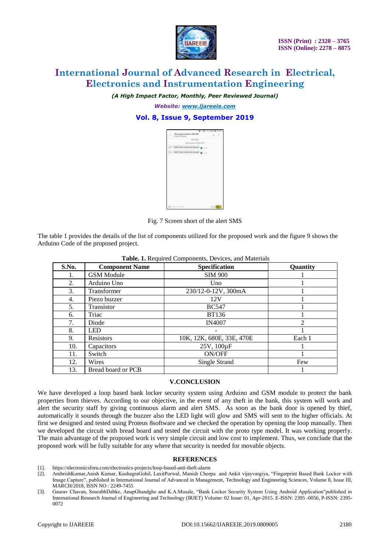

*(A High Impact Factor, Monthly, Peer Reviewed Journal)*

*Website: [www.ijareeie.com](http://www.ijareeie.com/)*

## **Vol. 8, Issue 9, September 2019**

| ■ 三章 正正的名字 ■ 13:37 |                                        |  |  |   |
|--------------------|----------------------------------------|--|--|---|
|                    | Muruganandam IbriCT<br>196294/35523    |  |  | Į |
|                    | <b>SMSZ MMS</b>                        |  |  |   |
|                    | Wednesdag, 24 May 2019                 |  |  |   |
| M                  | THEFT-Bank Lucker floor Opened B 17:07 |  |  |   |
| (M)                | THEFT-Bank Locker Door Opened          |  |  |   |
|                    |                                        |  |  |   |
|                    |                                        |  |  |   |
|                    |                                        |  |  |   |
|                    |                                        |  |  |   |
|                    |                                        |  |  |   |
|                    |                                        |  |  |   |
|                    |                                        |  |  |   |
|                    |                                        |  |  |   |
|                    |                                        |  |  |   |
|                    |                                        |  |  |   |
|                    |                                        |  |  |   |

Fig. 7 Screen short of the alert SMS

The table 1 provides the details of the list of components utilized for the proposed work and the figure 9 shows the Arduino Code of the proposed project.

| <b>Table.</b> 1. Required Components, Devices, and Materials |                       |                           |                |  |  |  |
|--------------------------------------------------------------|-----------------------|---------------------------|----------------|--|--|--|
| S.No.                                                        | <b>Component Name</b> | Specification             | Quantity       |  |  |  |
| 1.                                                           | <b>GSM</b> Module     | <b>SIM 900</b>            |                |  |  |  |
| 2.                                                           | Arduino Uno           | Uno                       |                |  |  |  |
| 3.                                                           | Transformer           | 230/12-0-12V, 300mA       |                |  |  |  |
| 4.                                                           | Piezo buzzer          | 12V                       |                |  |  |  |
| 5.                                                           | Transistor            | <b>BC547</b>              |                |  |  |  |
| 6.                                                           | Triac                 | <b>BT136</b>              |                |  |  |  |
| 7.                                                           | Diode                 | <b>IN4007</b>             | $\mathfrak{D}$ |  |  |  |
| 8.                                                           | <b>LED</b>            |                           |                |  |  |  |
| 9.                                                           | <b>Resistors</b>      | 10K, 12K, 680E, 33E, 470E | Each 1         |  |  |  |
| 10.                                                          | Capacitors            | 25V, 100µF                |                |  |  |  |
| 11.                                                          | Switch                | ON/OFF                    |                |  |  |  |
| 12.                                                          | Wires                 | Single Strand             | Few            |  |  |  |
| 13.                                                          | Bread board or PCB    |                           |                |  |  |  |

**Table. 1.** Required Components, Devices, and Materials

#### **V.CONCLUSION**

We have developed a loop based bank locker security system using Arduino and GSM module to protect the bank properties from thieves. According to our objective, in the event of any theft in the bank, this system will work and alert the security staff by giving continuous alarm and alert SMS. As soon as the bank door is opened by thief, automatically it sounds through the buzzer also the LED light will glow and SMS will sent to the higher officials. At first we designed and tested using Proteus 8software and we checked the operation by opening the loop manually. Then we developed the circuit with bread board and tested the circuit with the proto type model. It was working properly. The main advantage of the proposed work is very simple circuit and low cost to implement. Thus, we conclude that the proposed work will be fully suitable for any where that security is needed for movable objects.

#### **REFERENCES**

- [1]. https://electronicsforu.com/electronics-projects/loop-based-anti-theft-alarm
- [2]. AmbrishKumar,Anish Kumar, KushagraGohil, LaxitPorwal, Manish Cheepa and Ankit vijayvargiya, "Fingerprint Based Bank Locker with Image Capture", published in International Journal of Advanced in Management, Technology and Engineering Sciences, Volume 8, Issue III, MARCH/2018, ISSN NO : 2249-7455
- [3]. Gaurav Chavan, SourabhDabke, AnupGhandghe and K.A.Musale, "Bank Locker Security System Using Android Application"published in International Research Journal of Engineering and Technology (IRJET) Volume: 02 Issue: 01, Apr-2015. E-ISSN: 2395 -0056, P-ISSN: 2395- 0072